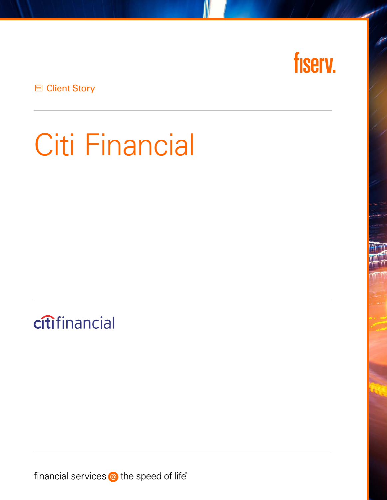

**E** Client Story

# Citi Financial

citifinancial

financial services @ the speed of life<sup>®</sup>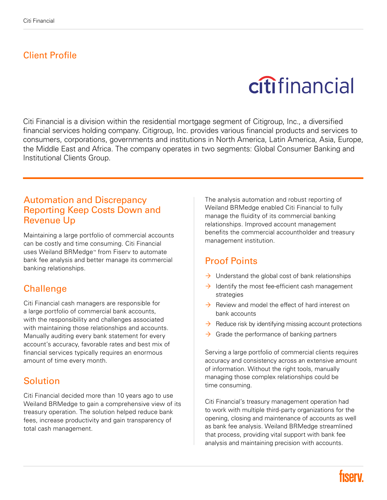#### Client Profile

## citifinancial

Citi Financial is a division within the residential mortgage segment of Citigroup, Inc., a diversified financial services holding company. Citigroup, Inc. provides various financial products and services to consumers, corporations, governments and institutions in North America, Latin America, Asia, Europe, the Middle East and Africa. The company operates in two segments: Global Consumer Banking and Institutional Clients Group.

#### Automation and Discrepancy Reporting Keep Costs Down and Revenue Up

Maintaining a large portfolio of commercial accounts can be costly and time consuming. Citi Financial uses Weiland BRMedge™ from Fiserv to automate bank fee analysis and better manage its commercial banking relationships.

#### **Challenge**

Citi Financial cash managers are responsible for a large portfolio of commercial bank accounts, with the responsibility and challenges associated with maintaining those relationships and accounts. Manually auditing every bank statement for every account's accuracy, favorable rates and best mix of financial services typically requires an enormous amount of time every month.

#### Solution

Citi Financial decided more than 10 years ago to use Weiland BRMedge to gain a comprehensive view of its treasury operation. The solution helped reduce bank fees, increase productivity and gain transparency of total cash management.

The analysis automation and robust reporting of Weiland BRMedge enabled Citi Financial to fully manage the fluidity of its commercial banking relationships. Improved account management benefits the commercial accountholder and treasury management institution.

#### Proof Points

- $\rightarrow$  Understand the global cost of bank relationships
- $\rightarrow$  Identify the most fee-efficient cash management strategies
- $\rightarrow$  Review and model the effect of hard interest on bank accounts
- $\rightarrow$  Reduce risk by identifying missing account protections
- $\rightarrow$  Grade the performance of banking partners

Serving a large portfolio of commercial clients requires accuracy and consistency across an extensive amount of information. Without the right tools, manually managing those complex relationships could be time consuming.

Citi Financial's treasury management operation had to work with multiple third-party organizations for the opening, closing and maintenance of accounts as well as bank fee analysis. Weiland BRMedge streamlined that process, providing vital support with bank fee analysis and maintaining precision with accounts.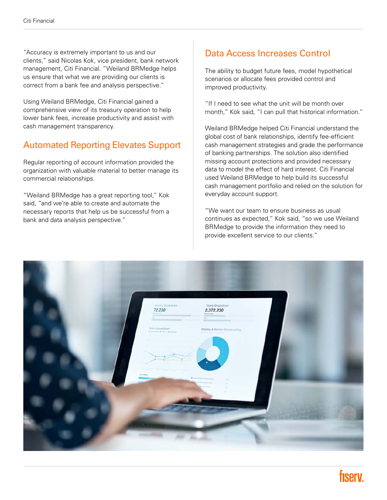"Accuracy is extremely important to us and our clients," said Nicolas Kok, vice president, bank network management, Citi Financial. "Weiland BRMedge helps us ensure that what we are providing our clients is correct from a bank fee and analysis perspective."

Using Weiland BRMedge, Citi Financial gained a comprehensive view of its treasury operation to help lower bank fees, increase productivity and assist with cash management transparency.

#### Automated Reporting Elevates Support

Regular reporting of account information provided the organization with valuable material to better manage its commercial relationships.

"Weiland BRMedge has a great reporting tool," Kok said, "and we're able to create and automate the necessary reports that help us be successful from a bank and data analysis perspective."

#### Data Access Increases Control

The ability to budget future fees, model hypothetical scenarios or allocate fees provided control and improved productivity.

"If I need to see what the unit will be month over month," Kok said, "I can pull that historical information."

Weiland BRMedge helped Citi Financial understand the global cost of bank relationships, identify fee-efficient cash management strategies and grade the performance of banking partnerships. The solution also identified missing account protections and provided necessary data to model the effect of hard interest. Citi Financial used Weiland BRMedge to help build its successful cash management portfolio and relied on the solution for everyday account support.

"We want our team to ensure business as usual continues as expected," Kok said, "so we use Weiland BRMedge to provide the information they need to provide excellent service to our clients."